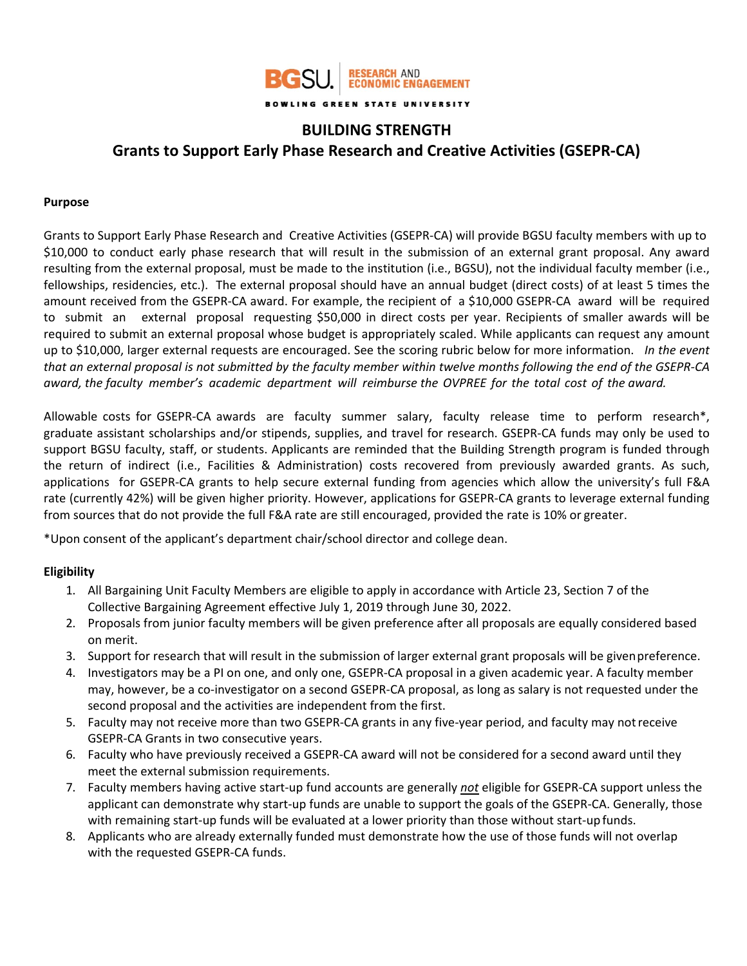

# **BUILDING STRENGTH Grants to Support Early Phase Research and Creative Activities (GSEPR‐CA)**

### **Purpose**

Grants to Support Early Phase Research and Creative Activities (GSEPR‐CA) will provide BGSU faculty members with up to \$10,000 to conduct early phase research that will result in the submission of an external grant proposal. Any award resulting from the external proposal, must be made to the institution (i.e., BGSU), not the individual faculty member (i.e., fellowships, residencies, etc.). The external proposal should have an annual budget (direct costs) of at least 5 times the amount received from the GSEPR‐CA award. For example, the recipient of a \$10,000 GSEPR‐CA award will be required to submit an external proposal requesting \$50,000 in direct costs per year. Recipients of smaller awards will be required to submit an external proposal whose budget is appropriately scaled. While applicants can request any amount up to \$10,000, larger external requests are encouraged. See the scoring rubric below for more information. *In the event that an external proposal is not submitted by the faculty member within twelve months following the end of the GSEPR‐CA award, the faculty member's academic department will reimburse the OVPREE for the total cost of the award.* 

Allowable costs for GSEPR-CA awards are faculty summer salary, faculty release time to perform research\*, graduate assistant scholarships and/or stipends, supplies, and travel for research. GSEPR-CA funds may only be used to support BGSU faculty, staff, or students. Applicants are reminded that the Building Strength program is funded through the return of indirect (i.e., Facilities & Administration) costs recovered from previously awarded grants. As such, applications for GSEPR-CA grants to help secure external funding from agencies which allow the university's full F&A rate (currently 42%) will be given higher priority. However, applications for GSEPR‐CA grants to leverage external funding from sources that do not provide the full F&A rate are still encouraged, provided the rate is 10% or greater.

\*Upon consent of the applicant's department chair/school director and college dean.

# **Eligibility**

- 1. All Bargaining Unit Faculty Members are eligible to apply in accordance with Article 23, Section 7 of the Collective Bargaining Agreement effective July 1, 2019 through June 30, 2022.
- 2. Proposals from junior faculty members will be given preference after all proposals are equally considered based on merit.
- 3. Support for research that will result in the submission of larger external grant proposals will be given preference.
- 4. Investigators may be a PI on one, and only one, GSEPR‐CA proposal in a given academic year. A faculty member may, however, be a co‐investigator on a second GSEPR‐CA proposal, as long as salary is not requested under the second proposal and the activities are independent from the first.
- 5. Faculty may not receive more than two GSEPR-CA grants in any five-year period, and faculty may not receive GSEPR‐CA Grants in two consecutive years.
- 6. Faculty who have previously received a GSEPR‐CA award will not be considered for a second award until they meet the external submission requirements.
- 7. Faculty members having active start‐up fund accounts are generally *not* eligible for GSEPR‐CA support unless the applicant can demonstrate why start-up funds are unable to support the goals of the GSEPR-CA. Generally, those with remaining start-up funds will be evaluated at a lower priority than those without start-up funds.
- 8. Applicants who are already externally funded must demonstrate how the use of those funds will not overlap with the requested GSEPR‐CA funds.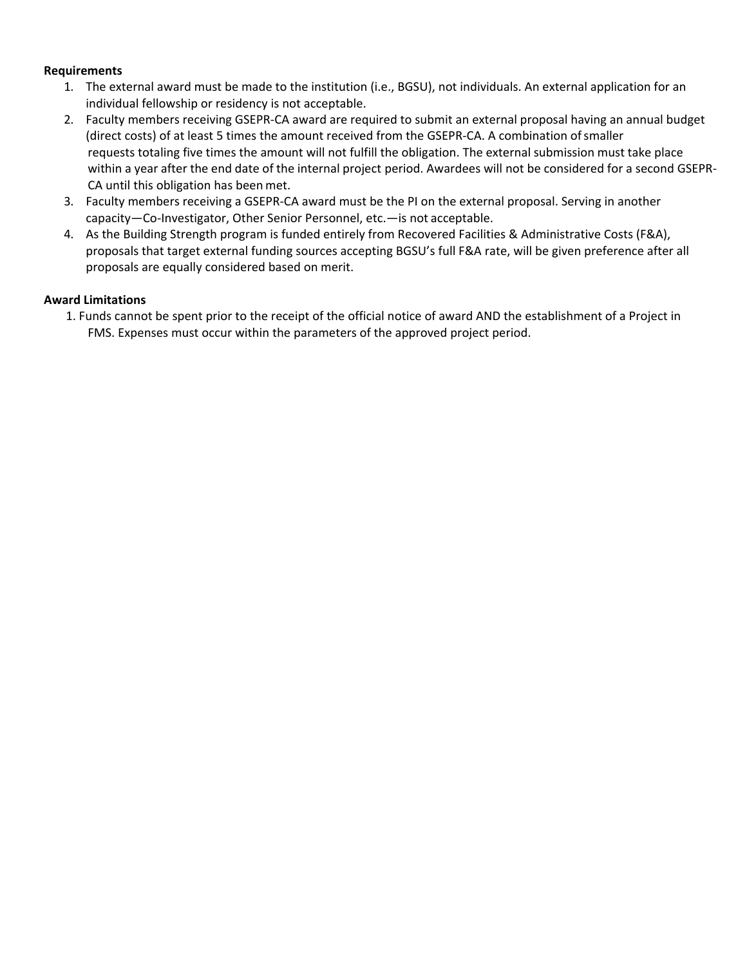# **Requirements**

- 1. The external award must be made to the institution (i.e., BGSU), not individuals. An external application for an individual fellowship or residency is not acceptable.
- 2. Faculty members receiving GSEPR‐CA award are required to submit an external proposal having an annual budget (direct costs) of at least 5 times the amount received from the GSEPR‐CA. A combination of smaller requests totaling five times the amount will not fulfill the obligation. The external submission must take place within a year after the end date of the internal project period. Awardees will not be considered for a second GSEPR‐ CA until this obligation has been met.
- 3. Faculty members receiving a GSEPR-CA award must be the PI on the external proposal. Serving in another capacity—Co‐Investigator, Other Senior Personnel, etc.—is not acceptable.
- 4. As the Building Strength program is funded entirely from Recovered Facilities & Administrative Costs (F&A), proposals that target external funding sources accepting BGSU's full F&A rate, will be given preference after all proposals are equally considered based on merit.

# **Award Limitations**

1. Funds cannot be spent prior to the receipt of the official notice of award AND the establishment of a Project in FMS. Expenses must occur within the parameters of the approved project period.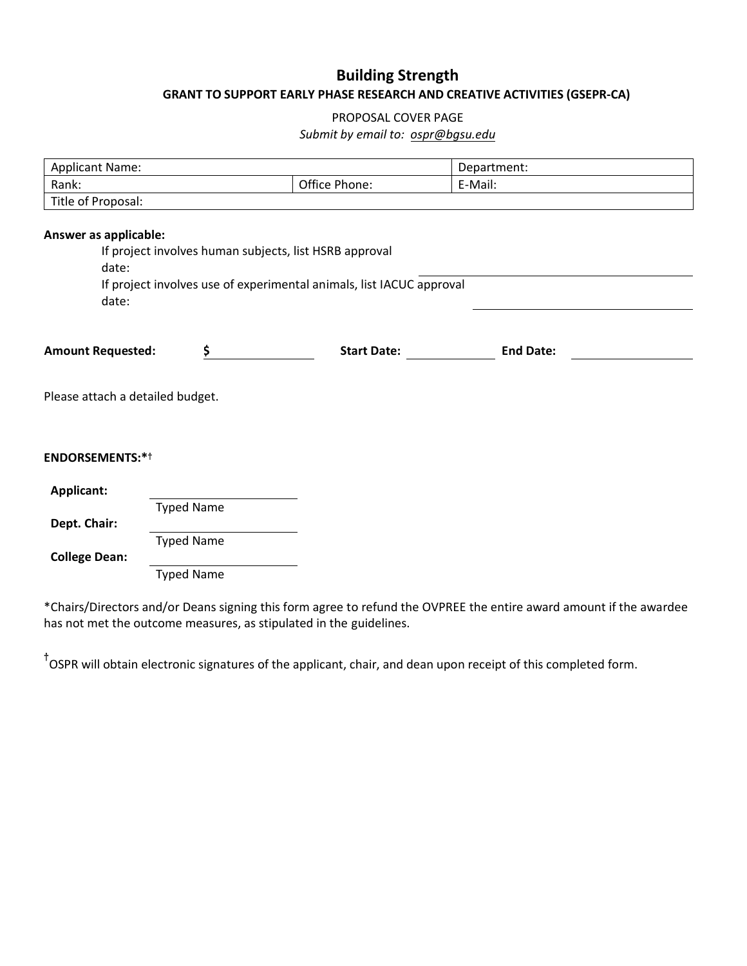# **Building Strength GRANT TO SUPPORT EARLY PHASE RESEARCH AND CREATIVE ACTIVITIES (GSEPR-CA)**

# PROPOSAL COVER PAGE

# *Submit by email to: [ospr@bgsu.edu](mailto:ospr@bgsu.edu)*

| <b>Applicant Name:</b>           |                   |                                                                      | Department:      |  |
|----------------------------------|-------------------|----------------------------------------------------------------------|------------------|--|
| Rank:                            |                   | Office Phone:                                                        | E-Mail:          |  |
| Title of Proposal:               |                   |                                                                      |                  |  |
|                                  |                   |                                                                      |                  |  |
| Answer as applicable:            |                   |                                                                      |                  |  |
|                                  |                   | If project involves human subjects, list HSRB approval               |                  |  |
| date:                            |                   |                                                                      |                  |  |
|                                  |                   | If project involves use of experimental animals, list IACUC approval |                  |  |
| date:                            |                   |                                                                      |                  |  |
|                                  |                   |                                                                      |                  |  |
| <b>Amount Requested:</b>         | \$                | <b>Start Date:</b>                                                   | <b>End Date:</b> |  |
|                                  |                   |                                                                      |                  |  |
|                                  |                   |                                                                      |                  |  |
| Please attach a detailed budget. |                   |                                                                      |                  |  |
|                                  |                   |                                                                      |                  |  |
|                                  |                   |                                                                      |                  |  |
| <b>ENDORSEMENTS:*</b> †          |                   |                                                                      |                  |  |
|                                  |                   |                                                                      |                  |  |
| <b>Applicant:</b>                |                   |                                                                      |                  |  |
|                                  | <b>Typed Name</b> |                                                                      |                  |  |
| Dept. Chair:                     |                   |                                                                      |                  |  |
|                                  | <b>Typed Name</b> |                                                                      |                  |  |
| <b>College Dean:</b>             |                   |                                                                      |                  |  |
|                                  | <b>Typed Name</b> |                                                                      |                  |  |
|                                  |                   |                                                                      |                  |  |

\*Chairs/Directors and/or Deans signing this form agree to refund the OVPREE the entire award amount if the awardee has not met the outcome measures, as stipulated in the guidelines.

**†** OSPR will obtain electronic signatures of the applicant, chair, and dean upon receipt of this completed form.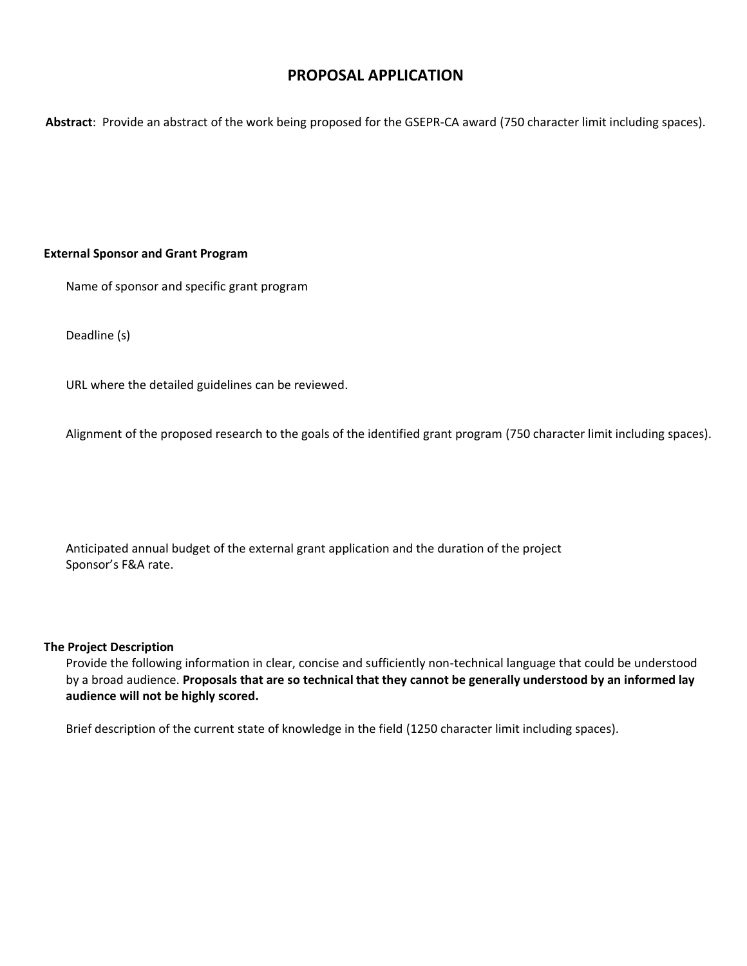# **PROPOSAL APPLICATION**

**Abstract**: Provide an abstract of the work being proposed for the GSEPR-CA award (750 character limit including spaces).

### **External Sponsor and Grant Program**

Name of sponsor and specific grant program

Deadline (s)

URL where the detailed guidelines can be reviewed.

Alignment of the proposed research to the goals of the identified grant program (750 character limit including spaces).

Anticipated annual budget of the external grant application and the duration of the project Sponsor's F&A rate.

### **The Project Description**

Provide the following information in clear, concise and sufficiently non-technical language that could be understood by a broad audience. **Proposals that are so technical that they cannot be generally understood by an informed lay audience will not be highly scored.** 

Brief description of the current state of knowledge in the field (1250 character limit including spaces).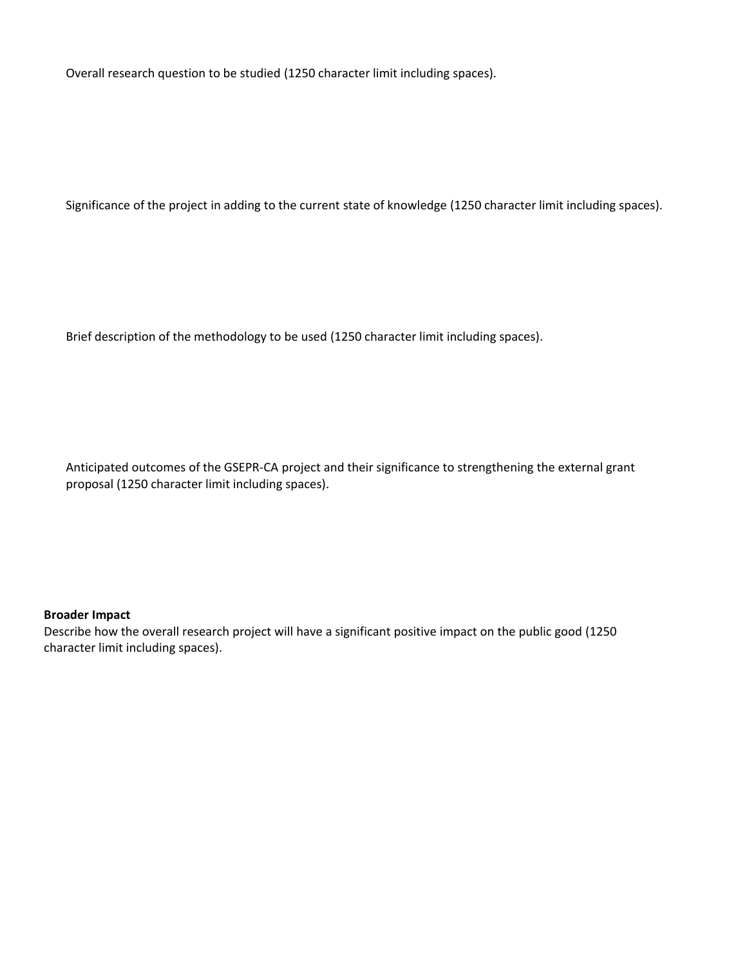Overall research question to be studied (1250 character limit including spaces).

Significance of the project in adding to the current state of knowledge (1250 character limit including spaces).

Brief description of the methodology to be used (1250 character limit including spaces).

Anticipated outcomes of the GSEPR-CA project and their significance to strengthening the external grant proposal (1250 character limit including spaces).

### **Broader Impact**

Describe how the overall research project will have a significant positive impact on the public good (1250 character limit including spaces).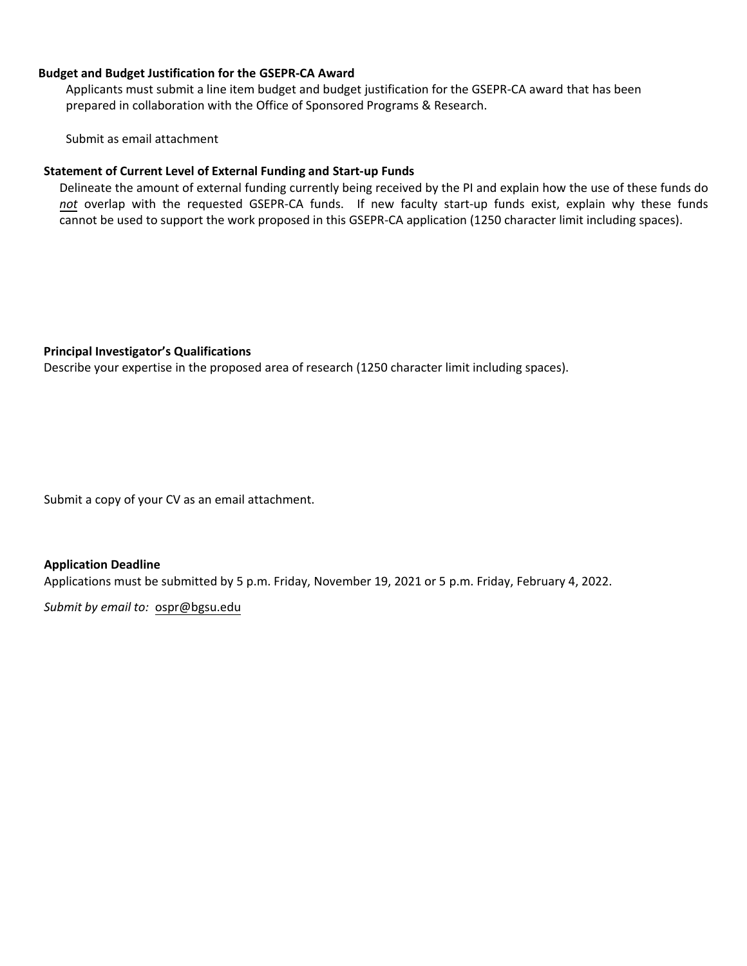### **Budget and Budget Justification for the GSEPR-CA Award**

Applicants must submit a line item budget and budget justification for the GSEPR-CA award that has been prepared in collaboration with the Office of Sponsored Programs & Research.

Submit as email attachment

### **Statement of Current Level of External Funding and Start-up Funds**

Delineate the amount of external funding currently being received by the PI and explain how the use of these funds do *not* overlap with the requested GSEPR-CA funds. If new faculty start-up funds exist, explain why these funds cannot be used to support the work proposed in this GSEPR-CA application (1250 character limit including spaces).

### **Principal Investigator's Qualifications**

Describe your expertise in the proposed area of research (1250 character limit including spaces).

Submit a copy of your CV as an email attachment.

### **Application Deadline**

Applications must be submitted by 5 p.m. Friday, November 19, 2021 or 5 p.m. Friday, February 4, 2022.

*Submit by email to:* ospr@bgsu.edu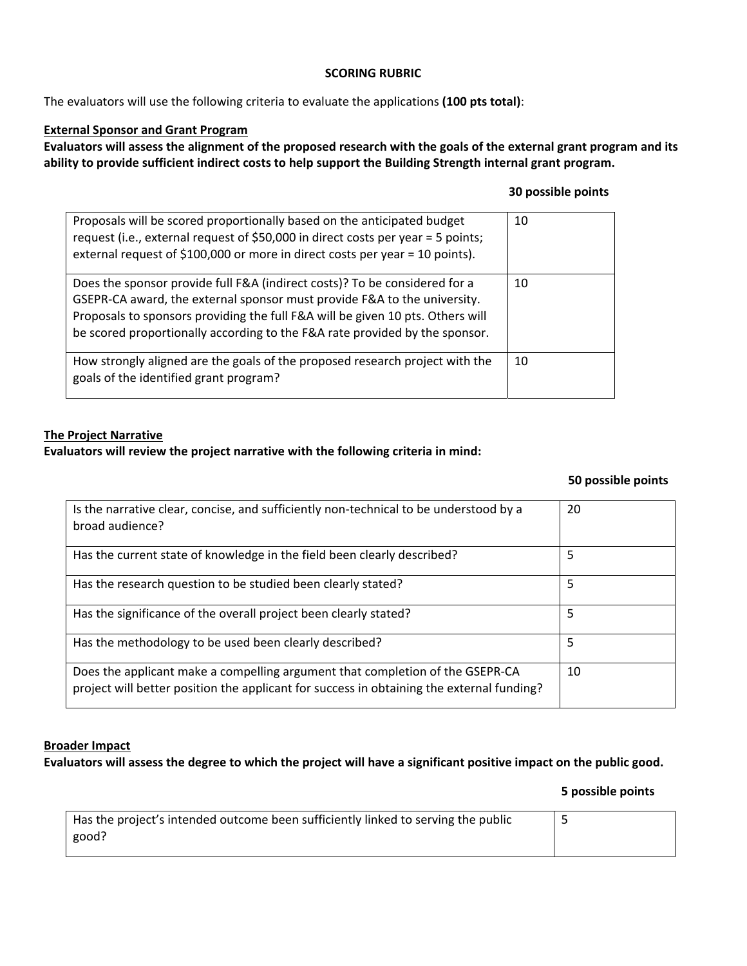# **SCORING RUBRIC**

The evaluators will use the following criteria to evaluate the applications **(100 pts total)**:

# **External Sponsor and Grant Program**

**Evaluators will assess the alignment of the proposed research with the goals of the external grant program and its ability to provide sufficient indirect costs to help support the Building Strength internal grant program.** 

# **30 possible points**

| Proposals will be scored proportionally based on the anticipated budget<br>request (i.e., external request of \$50,000 in direct costs per year = 5 points;<br>external request of \$100,000 or more in direct costs per year = 10 points).                                                                             | 10 |
|-------------------------------------------------------------------------------------------------------------------------------------------------------------------------------------------------------------------------------------------------------------------------------------------------------------------------|----|
| Does the sponsor provide full F&A (indirect costs)? To be considered for a<br>GSEPR-CA award, the external sponsor must provide F&A to the university.<br>Proposals to sponsors providing the full F&A will be given 10 pts. Others will<br>be scored proportionally according to the F&A rate provided by the sponsor. | 10 |
| How strongly aligned are the goals of the proposed research project with the<br>goals of the identified grant program?                                                                                                                                                                                                  | 10 |

# **The Project Narrative**

# **Evaluators will review the project narrative with the following criteria in mind:**

### **50 possible points**

| Is the narrative clear, concise, and sufficiently non-technical to be understood by a<br>broad audience?                                                                   | 20 |
|----------------------------------------------------------------------------------------------------------------------------------------------------------------------------|----|
| Has the current state of knowledge in the field been clearly described?                                                                                                    | 5  |
| Has the research question to be studied been clearly stated?                                                                                                               | 5  |
| Has the significance of the overall project been clearly stated?                                                                                                           | 5  |
| Has the methodology to be used been clearly described?                                                                                                                     | 5  |
| Does the applicant make a compelling argument that completion of the GSEPR-CA<br>project will better position the applicant for success in obtaining the external funding? | 10 |

### **Broader Impact**

# **Evaluators will assess the degree to which the project will have a significant positive impact on the public good.**

# **5 possible points**

| Has the project's intended outcome been sufficiently linked to serving the public |  |
|-----------------------------------------------------------------------------------|--|
| good?                                                                             |  |